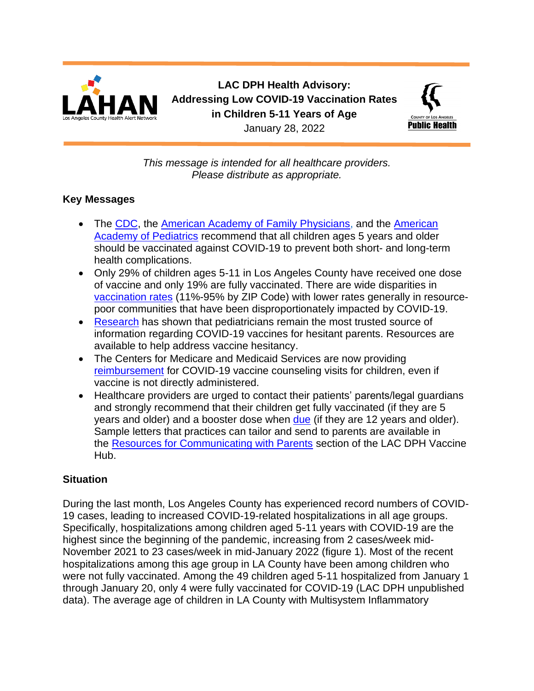

**LAC DPH Health Advisory: Addressing Low COVID-19 Vaccination Rates in Children 5-11 Years of Age** January 28, 2022



*This message is intended for all healthcare providers. Please distribute as appropriate.*

# **Key Messages**

- The [CDC,](https://www.cdc.gov/coronavirus/2019-ncov/vaccines/recommendations/children-teens.html) the [American Academy of Family Physicians,](https://www.aafp.org/family-physician/patient-care/current-hot-topics/recent-outbreaks/covid-19/covid-19-vaccine/children-and-adolescents.html) and the American [Academy of Pediatrics](https://publications.aap.org/pediatrics/article/149/1/e2021054332/183385/COVID-19-Vaccines-in-Children-and-Adolescents) recommend that all children ages 5 years and older should be vaccinated against COVID-19 to prevent both short- and long-term health complications.
- Only 29% of children ages 5-11 in Los Angeles County have received one dose of vaccine and only 19% are fully vaccinated. There are wide disparities in [vaccination rates](http://www.ph.lacounty.gov/media/Coronavirus/vaccine/vaccine-dashboard.htm) (11%-95% by ZIP Code) with lower rates generally in resourcepoor communities that have been disproportionately impacted by COVID-19.
- [Research](https://www.kff.org/coronavirus-covid-19/poll-finding/kff-covid-19-vaccine-monitor-winter-2021-update-on-parents-views-of-vaccines/#:~:text=As%20previous%20KFF%20research%20has,about%20the%20vaccines%20for%20children.) has shown that pediatricians remain the most trusted source of information regarding COVID-19 vaccines for hesitant parents. Resources are available to help address vaccine hesitancy.
- The Centers for Medicare and Medicaid Services are now providing [reimbursement](https://www.cmadocs.org/newsroom/news/view/ArticleId/49605/Medi-Cal-to-cover-COVID-vaccine-counseling-by-health-care-providers) for COVID-19 vaccine counseling visits for children, even if vaccine is not directly administered.
- Healthcare providers are urged to contact their patients' parents/legal guardians and strongly recommend that their children get fully vaccinated (if they are 5 years and older) and a booster dose when [due](http://publichealth.lacounty.gov/media/Coronavirus/docs/vaccine/VaccineEligibilitySummaryTable.pdf) (if they are 12 years and older). Sample letters that practices can tailor and send to parents are available in the [Resources for Communicating with Parents](https://t.e2ma.net/click/jbohqt/fcmhgg/r1521af) section of the LAC DPH Vaccine Hub.

# **Situation**

During the last month, Los Angeles County has experienced record numbers of COVID-19 cases, leading to increased COVID-19-related hospitalizations in all age groups. Specifically, hospitalizations among children aged 5-11 years with COVID-19 are the highest since the beginning of the pandemic, increasing from 2 cases/week mid-November 2021 to 23 cases/week in mid-January 2022 (figure 1). Most of the recent hospitalizations among this age group in LA County have been among children who were not fully vaccinated. Among the 49 children aged 5-11 hospitalized from January 1 through January 20, only 4 were fully vaccinated for COVID-19 (LAC DPH unpublished data). The average age of children in LA County with Multisystem Inflammatory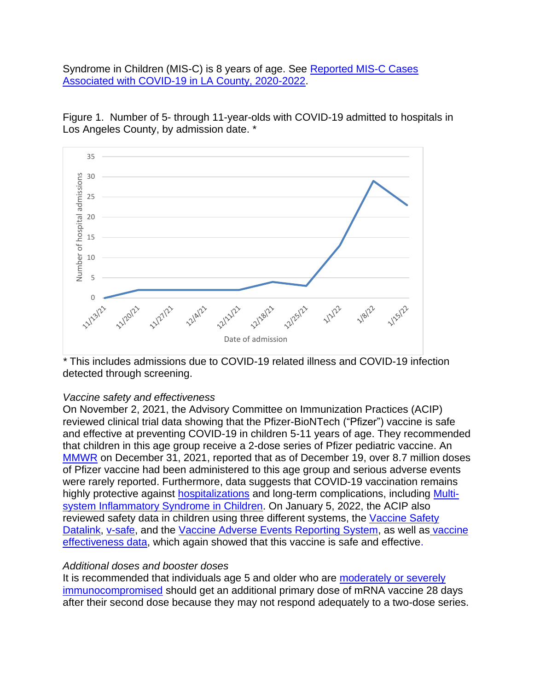Syndrome in Children (MIS-C) is 8 years of age. See Reported MIS-C Cases [Associated with COVID-19 in LA County, 2020-2022.](http://publichealth.lacounty.gov/acd/ncorona2019/images/miscDashboard.PNG)

Figure 1. Number of 5- through 11-year-olds with COVID-19 admitted to hospitals in Los Angeles County, by admission date. \*



*\** This includes admissions due to COVID-19 related illness and COVID-19 infection detected through screening.

### *Vaccine safety and effectiveness*

On November 2, 2021, the Advisory Committee on Immunization Practices (ACIP) reviewed clinical trial data showing that the Pfizer-BioNTech ("Pfizer") vaccine is safe and effective at preventing COVID-19 in children 5-11 years of age. They recommended that children in this age group receive a 2-dose series of Pfizer pediatric vaccine. An [MMWR](https://www.cdc.gov/mmwr/volumes/70/wr/mm705152a1.htm) on December 31, 2021, reported that as of December 19, over 8.7 million doses of Pfizer vaccine had been administered to this age group and serious adverse events were rarely reported. Furthermore, data suggests that COVID-19 vaccination remains highly protective against [hospitalizations](https://covid.cdc.gov/covid-data-tracker/#covidnet-hospitalizations-vaccination) and long-term complications, including [Multi](https://www.cdc.gov/mmwr/volumes/71/wr/mm7102e1.htm)[system Inflammatory Syndrome in Children.](https://www.cdc.gov/mmwr/volumes/71/wr/mm7102e1.htm) On January 5, 2022, the ACIP also reviewed safety data in children using three different systems, the Vaccine Safety [Datalink,](https://www.cdc.gov/vaccines/acip/meetings/downloads/slides-2022-01-05/04-COVID-Klein-508.pdf) [v-safe,](https://www.cdc.gov/vaccines/acip/meetings/downloads/slides-2022-01-05/03-COVID-Hause-508.pdf) and the [Vaccine Adverse Events Reporting System,](https://www.cdc.gov/vaccines/acip/meetings/downloads/slides-2022-01-05/02-COVID-Su-508.pdf) as well as vaccine [effectiveness](https://www.cdc.gov/vaccines/acip/meetings/downloads/slides-2022-01-05/06_COVID_Oliver_2022-01-05.pdf) data, which again showed that this vaccine is safe and effective.

### *Additional doses and booster doses*

It is recommended that individuals age 5 and older who are [moderately or severely](https://www.cdc.gov/coronavirus/2019-ncov/vaccines/recommendations/immuno.html)  [immunocompromised](https://www.cdc.gov/coronavirus/2019-ncov/vaccines/recommendations/immuno.html) should get an additional primary dose of mRNA vaccine 28 days after their second dose because they may not respond adequately to a two-dose series.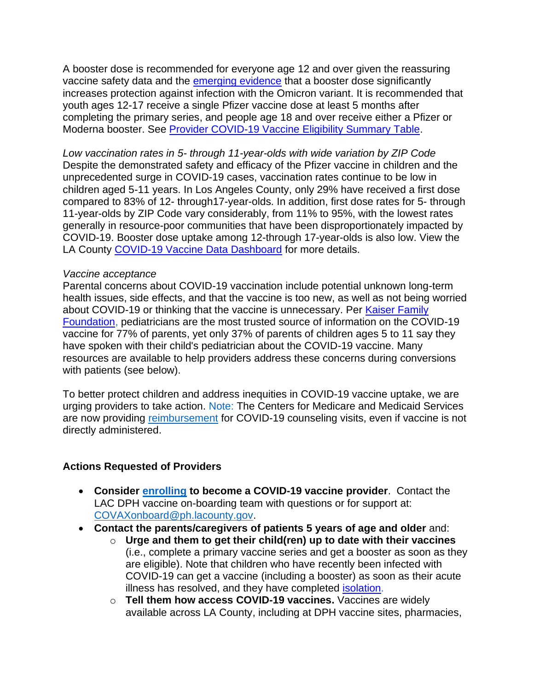A booster dose is recommended for everyone age 12 and over given the reassuring vaccine safety data and the [emerging evidence](https://www.cdc.gov/mmwr/volumes/71/wr/mm7104e2.htm?s_cid=mm7104e2_w) that a booster dose significantly increases protection against infection with the Omicron variant. It is recommended that youth ages 12-17 receive a single Pfizer vaccine dose at least 5 months after completing the primary series, and people age 18 and over receive either a Pfizer or Moderna booster. See [Provider COVID-19 Vaccine Eligibility Summary Table.](http://ph.lacounty.gov/acd/ncorona2019/docs/VaccineScheduleProviders102221.pdf)

*Low vaccination rates in 5- through 11-year-olds with wide variation by ZIP Code* Despite the demonstrated safety and efficacy of the Pfizer vaccine in children and the unprecedented surge in COVID-19 cases, vaccination rates continue to be low in children aged 5-11 years. In Los Angeles County, only 29% have received a first dose compared to 83% of 12- through17-year-olds. In addition, first dose rates for 5- through 11-year-olds by ZIP Code vary considerably, from 11% to 95%, with the lowest rates generally in resource-poor communities that have been disproportionately impacted by COVID-19. Booster dose uptake among 12-through 17-year-olds is also low. View the LA County [COVID-19 Vaccine Data Dashboard](http://www.ph.lacounty.gov/media/Coronavirus/vaccine/vaccine-dashboard.htm) for more details.

#### *Vaccine acceptance*

Parental concerns about COVID-19 vaccination include potential unknown long-term health issues, side effects, and that the vaccine is too new, as well as not being worried about COVID-19 or thinking that the vaccine is unnecessary. Per Kaiser Family [Foundation,](https://www.kff.org/coronavirus-covid-19/poll-finding/kff-covid-19-vaccine-monitor-winter-2021-update-on-parents-views-of-vaccines/#:~:text=As%20previous%20KFF%20research%20has,about%20the%20vaccines%20for%20children.) pediatricians are the most trusted source of information on the COVID-19 vaccine for 77% of parents, yet only 37% of parents of children ages 5 to 11 say they have spoken with their child's pediatrician about the COVID-19 vaccine. Many resources are available to help providers address these concerns during conversions with patients (see below).

To better protect children and address inequities in COVID-19 vaccine uptake, we are urging providers to take action. Note: The Centers for Medicare and Medicaid Services are now providing [reimbursement](https://www.cmadocs.org/newsroom/news/view/ArticleId/49605/Medi-Cal-to-cover-COVID-vaccine-counseling-by-health-care-providers) for COVID-19 counseling visits, even if vaccine is not directly administered.

### **Actions Requested of Providers**

- **Consider [enrolling](https://mycavax.cdph.ca.gov/s/) to become a COVID-19 vaccine provider**. Contact the LAC DPH vaccine on-boarding team with questions or for support at: [COVAXonboard@ph.lacounty.gov.](file:///C:/Users/e494745/AppData/Local/Microsoft/Windows/INetCache/Content.Outlook/XXHGGFRU/COVAXonboard@ph.lacounty.gov)
- **Contact the parents/caregivers of patients 5 years of age and older** and:
	- o **Urge and them to get their child(ren) up to date with their vaccines** (i.e., complete a primary vaccine series and get a booster as soon as they are eligible). Note that children who have recently been infected with COVID-19 can get a vaccine (including a booster) as soon as their acute illness has resolved, and they have completed [isolation.](http://publichealth.lacounty.gov/acd/ncorona2019/covidisolation/)
	- o **Tell them how access COVID-19 vaccines.** Vaccines are widely available across LA County, including at DPH vaccine sites, pharmacies,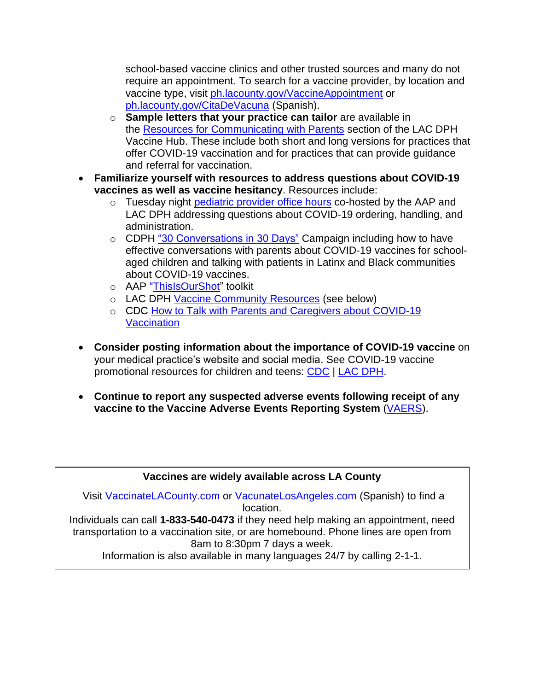school-based vaccine clinics and other trusted sources and many do not require an appointment. To search for a vaccine provider, by location and vaccine type, visit [ph.lacounty.gov/VaccineAppointment](http://ph.lacounty.gov/acd/ncorona2019/vaccine/hcwsignup/) or [ph.lacounty.gov/CitaDeVacuna](http://publichealth.lacounty.gov/acd/ncorona2019/vaccine/hcwsignup/Spanish.htm) (Spanish).

- o **Sample letters that your practice can tailor** are available in the [Resources for Communicating with Parents](https://t.e2ma.net/click/jbohqt/fcmhgg/r9j31af) section of the LAC DPH Vaccine Hub. These include both short and long versions for practices that offer COVID-19 vaccination and for practices that can provide guidance and referral for vaccination.
- **Familiarize yourself with resources to address questions about COVID-19 vaccines as well as vaccine hesitancy**. Resources include:
	- o Tuesday night [pediatric provider office hours](http://publichealth.lacounty.gov/acd/ncorona2019/docs/COVIDVaccineForChildrenInfoHourFlyer.pdf) co-hosted by the AAP and LAC DPH addressing questions about COVID-19 ordering, handling, and administration.
	- o CDPH ["30 Conversations in 30 Days"](https://eziz.org/covid/30conversations/) Campaign including how to have effective conversations with parents about COVID-19 vaccines for schoolaged children and talking with patients in Latinx and Black communities about COVID-19 vaccines.
	- o AAP ["ThisIsOurShot" toolkit](https://www.aap.org/en/news-room/campaigns-and-toolkits/covid-19-vaccine-toolkit/)
	- o LAC DPH [Vaccine Community Resources](http://www.publichealth.lacounty.gov/media/Coronavirus/vaccine/resources.htm) (see below)
	- o CDC [How to Talk with Parents and Caregivers about](https://www.cdc.gov/vaccines/covid-19/hcp/pediatrician.html) COVID-19 **[Vaccination](https://www.cdc.gov/vaccines/covid-19/hcp/pediatrician.html)**
- **Consider posting information about the importance of COVID-19 vaccine** on your medical practice's website and social media. See COVID-19 vaccine promotional resources for children and teens: [CDC](https://www.cdc.gov/vaccines/covid-19/planning/children/resources-promote.html) | [LAC DPH.](http://publichealth.lacounty.gov/media/Coronavirus/vaccine/resources.htm#SocialMedia)
- **Continue to report any suspected adverse events following receipt of any vaccine to the Vaccine Adverse Events Reporting System** [\(VAERS\)](https://vaers.hhs.gov/reportevent.html).

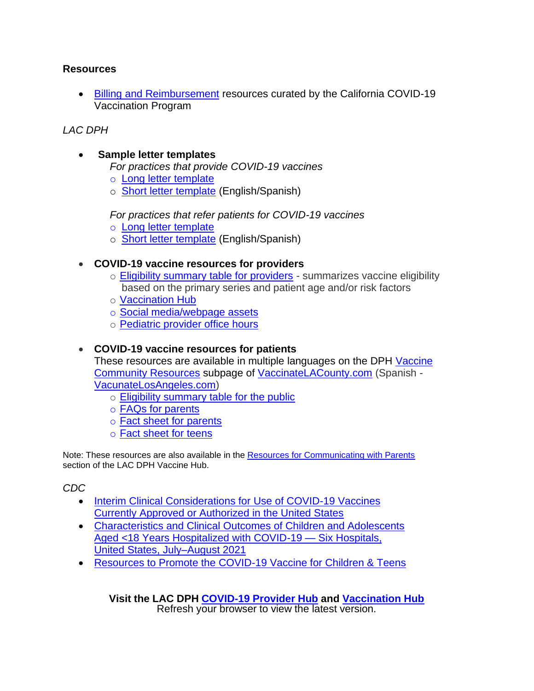## **Resources**

• [Billing and Reimbursement](https://eziz.org/covid/vaccine-administration/#J) resources curated by the California COVID-19 Vaccination Program

# *LAC DPH*

• **Sample letter templates** 

 *For practices that provide COVID-19 vaccines*

- o [Long letter template](http://publichealth.lacounty.gov/acd/ncorona2019/docs/LongLetterTemplatePedsForPracticesThatVax.docx)
- o [Short letter template](http://publichealth.lacounty.gov/acd/ncorona2019/docs/ShortLetterTemplatePedsForPracticesThatVax.docx) (English/Spanish)

 *For practices that refer patients for COVID-19 vaccines*

- o [Long letter template](http://publichealth.lacounty.gov/acd/ncorona2019/docs/LongLetterTemplatePedsForPracticesReferForVax.docx)
- o [Short letter template](http://publichealth.lacounty.gov/acd/ncorona2019/docs/ShortLetterTemplatePedsForPracticesReferForVax.docx) (English/Spanish)

## • **COVID-19 vaccine resources for providers**

- o [Eligibility summary table for providers](http://ph.lacounty.gov/acd/ncorona2019/docs/VaccineScheduleProviders102221.pdf) summarizes vaccine eligibility based on the primary series and patient age and/or risk factors
- o [Vaccination](http://publichealth.lacounty.gov/acd/ncorona2019/vaccine) Hub
- o [Social media/webpage assets](http://publichealth.lacounty.gov/media/Coronavirus/vaccine/resources.htm#SocialMedia)
- o [Pediatric provider office hours](http://publichealth.lacounty.gov/acd/ncorona2019/docs/COVIDVaccineForChildrenInfoHourFlyer.pdf)

# • **COVID-19 vaccine resources for patients**

These resources are available in multiple languages on the DPH [Vaccine](http://www.publichealth.lacounty.gov/media/Coronavirus/vaccine/resources.htm)  [Community Resources](http://www.publichealth.lacounty.gov/media/Coronavirus/vaccine/resources.htm) subpage of [VaccinateLACounty.com](http://publichealth.lacounty.gov/media/Coronavirus/vaccine/) (Spanish - [VacunateLosAngeles.com\)](http://publichealth.lacounty.gov/media/Coronavirus/vaccine/index-es.htm)

- o Eligibility [summary table for the public](http://publichealth.lacounty.gov/media/Coronavirus/docs/vaccine/VaccineEligibilitySummaryTable.pdf)
- o [FAQs for parents](http://publichealth.lacounty.gov/media/Coronavirus/docs/vaccine/FAQ-Vaccine_ParentsGuardians.pdf)
- o [Fact sheet for parents](http://publichealth.lacounty.gov/media/Coronavirus/docs/vaccine/VaccineFacts_Parents.pdf)
- o [Fact sheet for teens](http://publichealth.lacounty.gov/media/Coronavirus/docs/vaccine/VaccineFacts_Teens.pdf)

Note: These resources are also available in the [Resources for Communicating with Parents](http://publichealth.lacounty.gov/acd/ncorona2019/vaccine/#communicatingwithparents) section of the LAC DPH Vaccine Hub.

### *CDC*

- [Interim Clinical Considerations for Use of COVID-19 Vaccines](https://www.cdc.gov/vaccines/covid-19/clinical-considerations/covid-19-vaccines-us.html?CDC_AA_refVal=https%3A%2F%2Fwww.cdc.gov%2Fvaccines%2Fcovid-19%2Finfo-by-product%2Fclinical-considerations.html)  [Currently Approved or Authorized in the United States](https://www.cdc.gov/vaccines/covid-19/clinical-considerations/covid-19-vaccines-us.html?CDC_AA_refVal=https%3A%2F%2Fwww.cdc.gov%2Fvaccines%2Fcovid-19%2Finfo-by-product%2Fclinical-considerations.html)
- [Characteristics and Clinical Outcomes of Children and Adolescents](https://www.cdc.gov/mmwr/volumes/70/wr/mm705152a3.htm?s_cid=mm705152a3_w.)  [Aged <18 Years Hospitalized with COVID-19 —](https://www.cdc.gov/mmwr/volumes/70/wr/mm705152a3.htm?s_cid=mm705152a3_w.) Six Hospitals, [United States, July–August 2021](https://www.cdc.gov/mmwr/volumes/70/wr/mm705152a3.htm?s_cid=mm705152a3_w.)
- [Resources to Promote the COVID-19 Vaccine for Children & Teens](https://www.cdc.gov/vaccines/covid-19/planning/children/resources-promote.html)

**Visit the LAC DPH [COVID-19](http://publichealth.lacounty.gov/acd/ncorona2019/) Provider Hub and [Vaccination](http://publichealth.lacounty.gov/acd/ncorona2019/vaccine) Hub** Refresh your browser to view the latest version.